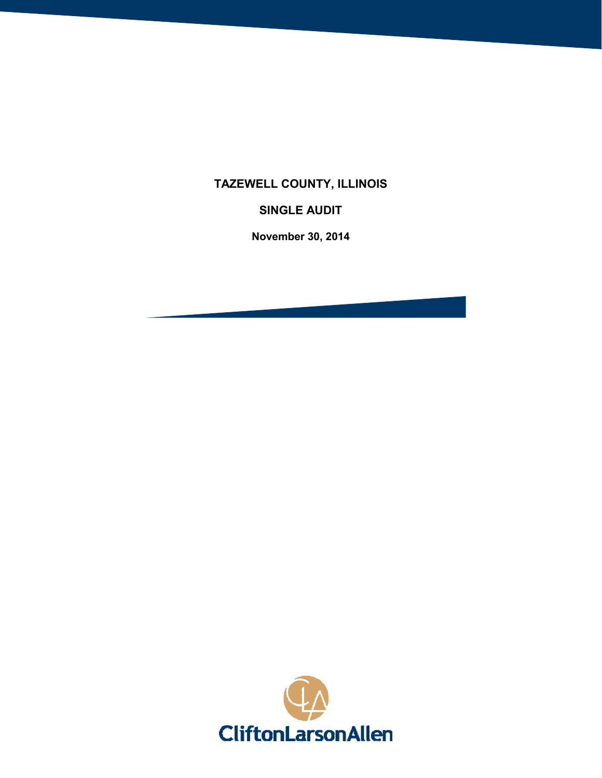# **TAZEWELL COUNTY, ILLINOIS**

**SINGLE AUDIT**

**November 30, 2014**

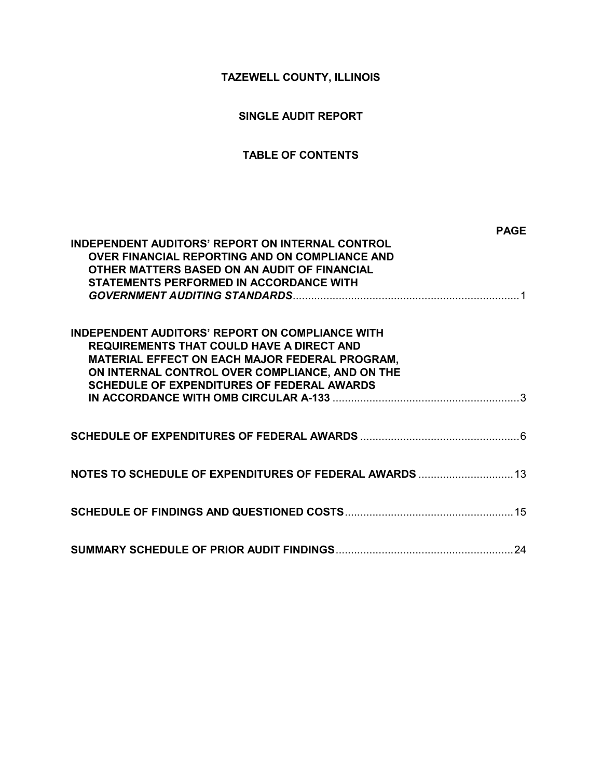**TAZEWELL COUNTY, ILLINOIS**

# **SINGLE AUDIT REPORT**

# **TABLE OF CONTENTS**

| <b>INDEPENDENT AUDITORS' REPORT ON INTERNAL CONTROL</b><br><b>OVER FINANCIAL REPORTING AND ON COMPLIANCE AND</b><br>OTHER MATTERS BASED ON AN AUDIT OF FINANCIAL<br>STATEMENTS PERFORMED IN ACCORDANCE WITH                                                                 | <b>PAGE</b> |
|-----------------------------------------------------------------------------------------------------------------------------------------------------------------------------------------------------------------------------------------------------------------------------|-------------|
| <b>INDEPENDENT AUDITORS' REPORT ON COMPLIANCE WITH</b><br><b>REQUIREMENTS THAT COULD HAVE A DIRECT AND</b><br><b>MATERIAL EFFECT ON EACH MAJOR FEDERAL PROGRAM,</b><br>ON INTERNAL CONTROL OVER COMPLIANCE, AND ON THE<br><b>SCHEDULE OF EXPENDITURES OF FEDERAL AWARDS</b> |             |
|                                                                                                                                                                                                                                                                             |             |
| NOTES TO SCHEDULE OF EXPENDITURES OF FEDERAL AWARDS  13                                                                                                                                                                                                                     |             |
|                                                                                                                                                                                                                                                                             |             |
|                                                                                                                                                                                                                                                                             |             |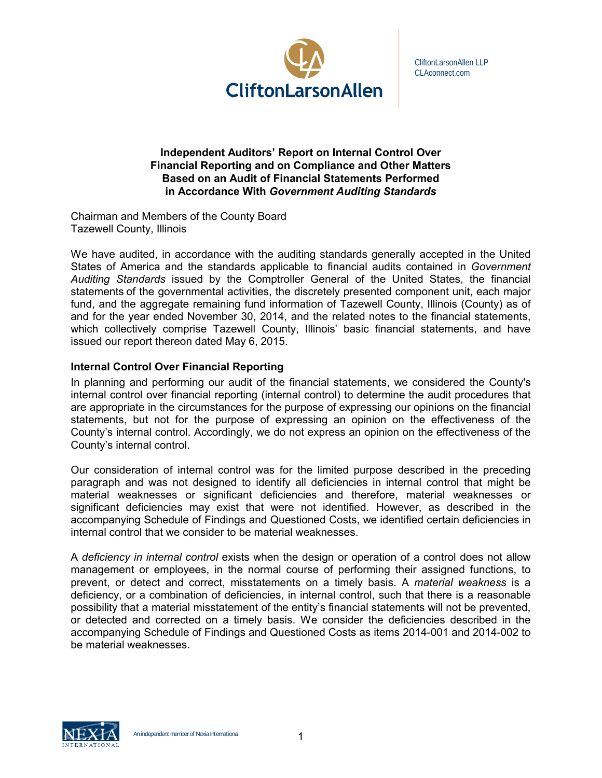

CliftonLarsonAllen LLP CLAconnect.com

# **Independent Auditors' Report on Internal Control Over Financial Reporting and on Compliance and Other Matters Based on an Audit of Financial Statements Performed in Accordance With** *Government Auditing Standards*

Chairman and Members of the County Board Tazewell County, Illinois

We have audited, in accordance with the auditing standards generally accepted in the United States of America and the standards applicable to financial audits contained in *Government Auditing Standards* issued by the Comptroller General of the United States, the financial statements of the governmental activities, the discretely presented component unit, each major fund, and the aggregate remaining fund information of Tazewell County, Illinois (County) as of and for the year ended November 30, 2014, and the related notes to the financial statements, which collectively comprise Tazewell County, Illinois' basic financial statements, and have issued our report thereon dated May 6, 2015.

## **Internal Control Over Financial Reporting**

In planning and performing our audit of the financial statements, we considered the County's internal control over financial reporting (internal control) to determine the audit procedures that are appropriate in the circumstances for the purpose of expressing our opinions on the financial statements, but not for the purpose of expressing an opinion on the effectiveness of the County's internal control. Accordingly, we do not express an opinion on the effectiveness of the County's internal control.

Our consideration of internal control was for the limited purpose described in the preceding paragraph and was not designed to identify all deficiencies in internal control that might be material weaknesses or significant deficiencies and therefore, material weaknesses or significant deficiencies may exist that were not identified. However, as described in the accompanying Schedule of Findings and Questioned Costs, we identified certain deficiencies in internal control that we consider to be material weaknesses.

A *deficiency in internal control* exists when the design or operation of a control does not allow management or employees, in the normal course of performing their assigned functions, to prevent, or detect and correct, misstatements on a timely basis. A *material weakness* is a deficiency, or a combination of deficiencies, in internal control, such that there is a reasonable possibility that a material misstatement of the entity's financial statements will not be prevented, or detected and corrected on a timely basis. We consider the deficiencies described in the accompanying Schedule of Findings and Questioned Costs as items 2014-001 and 2014-002 to be material weaknesses.

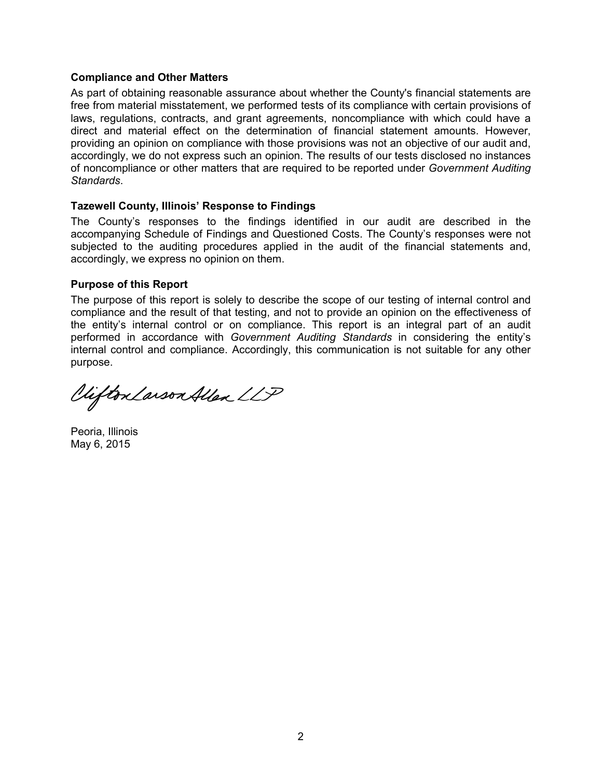#### **Compliance and Other Matters**

As part of obtaining reasonable assurance about whether the County's financial statements are free from material misstatement, we performed tests of its compliance with certain provisions of laws, regulations, contracts, and grant agreements, noncompliance with which could have a direct and material effect on the determination of financial statement amounts. However, providing an opinion on compliance with those provisions was not an objective of our audit and, accordingly, we do not express such an opinion. The results of our tests disclosed no instances of noncompliance or other matters that are required to be reported under *Government Auditing Standards*.

#### **Tazewell County, Illinois' Response to Findings**

The County's responses to the findings identified in our audit are described in the accompanying Schedule of Findings and Questioned Costs. The County's responses were not subjected to the auditing procedures applied in the audit of the financial statements and, accordingly, we express no opinion on them.

#### **Purpose of this Report**

The purpose of this report is solely to describe the scope of our testing of internal control and compliance and the result of that testing, and not to provide an opinion on the effectiveness of the entity's internal control or on compliance. This report is an integral part of an audit performed in accordance with *Government Auditing Standards* in considering the entity's internal control and compliance. Accordingly, this communication is not suitable for any other purpose.

ViftonLarson Allen LLP

Peoria, Illinois May 6, 2015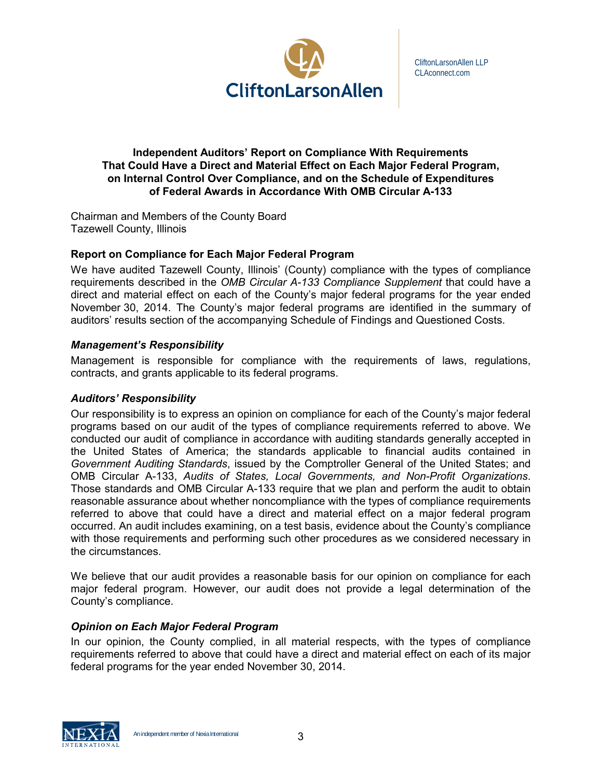

# **Independent Auditors' Report on Compliance With Requirements That Could Have a Direct and Material Effect on Each Major Federal Program, on Internal Control Over Compliance, and on the Schedule of Expenditures of Federal Awards in Accordance With OMB Circular A-133**

Chairman and Members of the County Board Tazewell County, Illinois

# **Report on Compliance for Each Major Federal Program**

We have audited Tazewell County, Illinois' (County) compliance with the types of compliance requirements described in the *OMB Circular A-133 Compliance Supplement* that could have a direct and material effect on each of the County's major federal programs for the year ended November 30, 2014. The County's major federal programs are identified in the summary of auditors' results section of the accompanying Schedule of Findings and Questioned Costs.

## *Management's Responsibility*

Management is responsible for compliance with the requirements of laws, regulations, contracts, and grants applicable to its federal programs.

## *Auditors' Responsibility*

Our responsibility is to express an opinion on compliance for each of the County's major federal programs based on our audit of the types of compliance requirements referred to above. We conducted our audit of compliance in accordance with auditing standards generally accepted in the United States of America; the standards applicable to financial audits contained in *Government Auditing Standards*, issued by the Comptroller General of the United States; and OMB Circular A-133, *Audits of States, Local Governments, and Non-Profit Organizations*. Those standards and OMB Circular A-133 require that we plan and perform the audit to obtain reasonable assurance about whether noncompliance with the types of compliance requirements referred to above that could have a direct and material effect on a major federal program occurred. An audit includes examining, on a test basis, evidence about the County's compliance with those requirements and performing such other procedures as we considered necessary in the circumstances.

We believe that our audit provides a reasonable basis for our opinion on compliance for each major federal program. However, our audit does not provide a legal determination of the County's compliance.

## *Opinion on Each Major Federal Program*

In our opinion, the County complied, in all material respects, with the types of compliance requirements referred to above that could have a direct and material effect on each of its major federal programs for the year ended November 30, 2014.

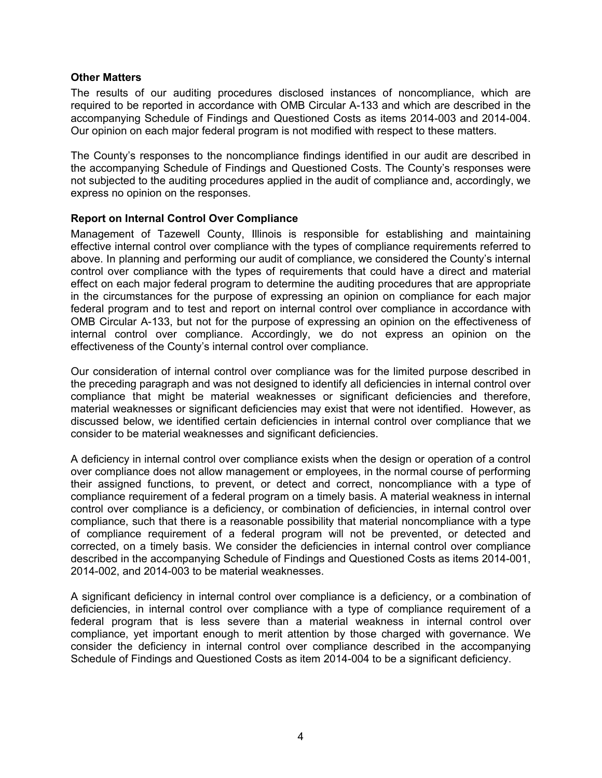#### **Other Matters**

The results of our auditing procedures disclosed instances of noncompliance, which are required to be reported in accordance with OMB Circular A-133 and which are described in the accompanying Schedule of Findings and Questioned Costs as items 2014-003 and 2014-004. Our opinion on each major federal program is not modified with respect to these matters.

The County's responses to the noncompliance findings identified in our audit are described in the accompanying Schedule of Findings and Questioned Costs. The County's responses were not subjected to the auditing procedures applied in the audit of compliance and, accordingly, we express no opinion on the responses.

#### **Report on Internal Control Over Compliance**

Management of Tazewell County, Illinois is responsible for establishing and maintaining effective internal control over compliance with the types of compliance requirements referred to above. In planning and performing our audit of compliance, we considered the County's internal control over compliance with the types of requirements that could have a direct and material effect on each major federal program to determine the auditing procedures that are appropriate in the circumstances for the purpose of expressing an opinion on compliance for each major federal program and to test and report on internal control over compliance in accordance with OMB Circular A-133, but not for the purpose of expressing an opinion on the effectiveness of internal control over compliance. Accordingly, we do not express an opinion on the effectiveness of the County's internal control over compliance.

Our consideration of internal control over compliance was for the limited purpose described in the preceding paragraph and was not designed to identify all deficiencies in internal control over compliance that might be material weaknesses or significant deficiencies and therefore, material weaknesses or significant deficiencies may exist that were not identified. However, as discussed below, we identified certain deficiencies in internal control over compliance that we consider to be material weaknesses and significant deficiencies.

A deficiency in internal control over compliance exists when the design or operation of a control over compliance does not allow management or employees, in the normal course of performing their assigned functions, to prevent, or detect and correct, noncompliance with a type of compliance requirement of a federal program on a timely basis. A material weakness in internal control over compliance is a deficiency, or combination of deficiencies, in internal control over compliance, such that there is a reasonable possibility that material noncompliance with a type of compliance requirement of a federal program will not be prevented, or detected and corrected, on a timely basis. We consider the deficiencies in internal control over compliance described in the accompanying Schedule of Findings and Questioned Costs as items 2014-001, 2014-002, and 2014-003 to be material weaknesses.

A significant deficiency in internal control over compliance is a deficiency, or a combination of deficiencies, in internal control over compliance with a type of compliance requirement of a federal program that is less severe than a material weakness in internal control over compliance, yet important enough to merit attention by those charged with governance. We consider the deficiency in internal control over compliance described in the accompanying Schedule of Findings and Questioned Costs as item 2014-004 to be a significant deficiency.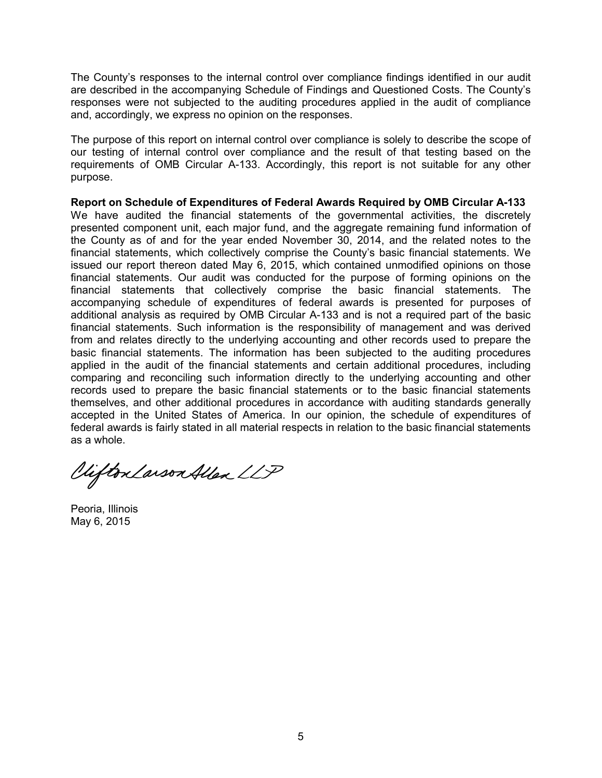The County's responses to the internal control over compliance findings identified in our audit are described in the accompanying Schedule of Findings and Questioned Costs. The County's responses were not subjected to the auditing procedures applied in the audit of compliance and, accordingly, we express no opinion on the responses.

The purpose of this report on internal control over compliance is solely to describe the scope of our testing of internal control over compliance and the result of that testing based on the requirements of OMB Circular A-133. Accordingly, this report is not suitable for any other purpose.

**Report on Schedule of Expenditures of Federal Awards Required by OMB Circular A-133** We have audited the financial statements of the governmental activities, the discretely presented component unit, each major fund, and the aggregate remaining fund information of the County as of and for the year ended November 30, 2014, and the related notes to the financial statements, which collectively comprise the County's basic financial statements. We issued our report thereon dated May 6, 2015, which contained unmodified opinions on those financial statements. Our audit was conducted for the purpose of forming opinions on the financial statements that collectively comprise the basic financial statements. The accompanying schedule of expenditures of federal awards is presented for purposes of additional analysis as required by OMB Circular A-133 and is not a required part of the basic financial statements. Such information is the responsibility of management and was derived from and relates directly to the underlying accounting and other records used to prepare the basic financial statements. The information has been subjected to the auditing procedures applied in the audit of the financial statements and certain additional procedures, including comparing and reconciling such information directly to the underlying accounting and other records used to prepare the basic financial statements or to the basic financial statements themselves, and other additional procedures in accordance with auditing standards generally accepted in the United States of America. In our opinion, the schedule of expenditures of federal awards is fairly stated in all material respects in relation to the basic financial statements as a whole.

ViftonLarson Allen LLP

Peoria, Illinois May 6, 2015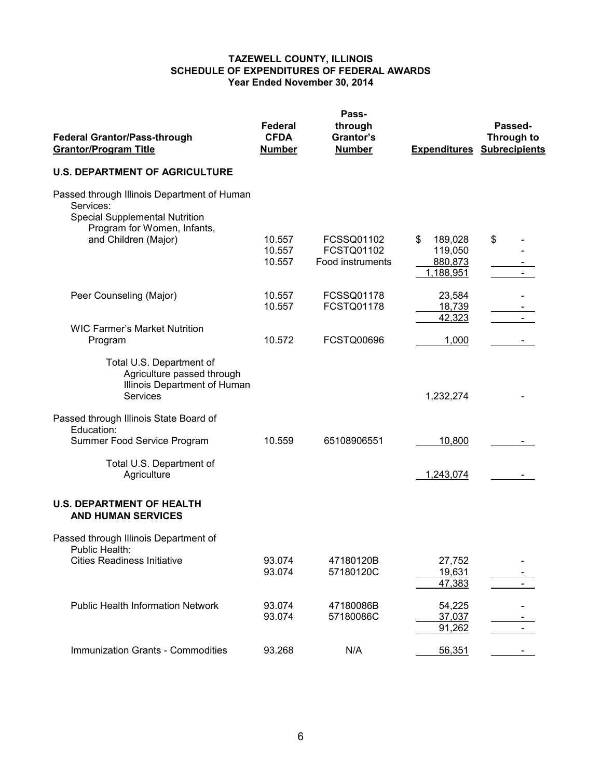| <b>Federal Grantor/Pass-through</b><br><b>Grantor/Program Title</b>                                                                                      | Federal<br><b>CFDA</b><br><b>Number</b> | Pass-<br>through<br>Grantor's<br><b>Number</b> |                                 | Passed-<br>Through to<br><b>Expenditures Subrecipients</b> |
|----------------------------------------------------------------------------------------------------------------------------------------------------------|-----------------------------------------|------------------------------------------------|---------------------------------|------------------------------------------------------------|
| <b>U.S. DEPARTMENT OF AGRICULTURE</b>                                                                                                                    |                                         |                                                |                                 |                                                            |
| Passed through Illinois Department of Human<br>Services:<br><b>Special Supplemental Nutrition</b><br>Program for Women, Infants,<br>and Children (Major) | 10.557                                  | FCSSQ01102                                     | 189,028<br>\$                   | \$                                                         |
|                                                                                                                                                          | 10.557<br>10.557                        | FCSTQ01102<br>Food instruments                 | 119,050<br>880,873<br>1,188,951 |                                                            |
| Peer Counseling (Major)                                                                                                                                  | 10.557<br>10.557                        | FCSSQ01178<br>FCSTQ01178                       | 23,584<br>18,739<br>42,323      |                                                            |
| <b>WIC Farmer's Market Nutrition</b><br>Program                                                                                                          | 10.572                                  | <b>FCSTQ00696</b>                              | 1,000                           |                                                            |
| Total U.S. Department of<br>Agriculture passed through<br>Illinois Department of Human<br>Services                                                       |                                         |                                                | 1,232,274                       |                                                            |
| Passed through Illinois State Board of<br>Education:<br>Summer Food Service Program                                                                      | 10.559                                  | 65108906551                                    | 10,800                          |                                                            |
| Total U.S. Department of<br>Agriculture                                                                                                                  |                                         |                                                | 1,243,074                       |                                                            |
| <b>U.S. DEPARTMENT OF HEALTH</b><br><b>AND HUMAN SERVICES</b>                                                                                            |                                         |                                                |                                 |                                                            |
| Passed through Illinois Department of<br>Public Health:                                                                                                  |                                         |                                                |                                 |                                                            |
| <b>Cities Readiness Initiative</b>                                                                                                                       | 93.074<br>93.074                        | 47180120B<br>57180120C                         | 27,752<br>19,631<br>47,383      |                                                            |
| <b>Public Health Information Network</b>                                                                                                                 | 93.074<br>93.074                        | 47180086B<br>57180086C                         | 54,225<br>37,037<br>91,262      |                                                            |
| <b>Immunization Grants - Commodities</b>                                                                                                                 | 93.268                                  | N/A                                            | 56,351                          |                                                            |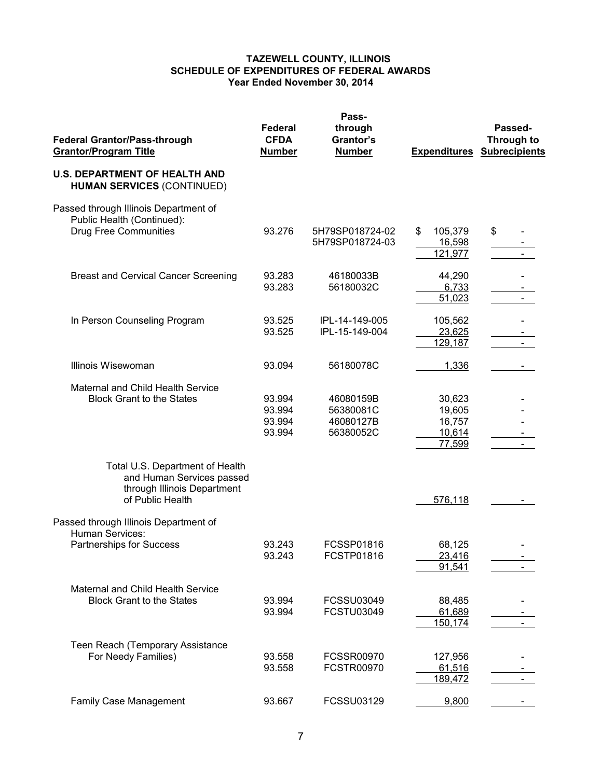| <b>Federal Grantor/Pass-through</b><br><b>Grantor/Program Title</b>                                             | Federal<br><b>CFDA</b><br><b>Number</b> | Pass-<br>through<br>Grantor's<br><b>Number</b>   | <b>Expenditures</b>                            | Passed-<br>Through to<br><b>Subrecipients</b> |
|-----------------------------------------------------------------------------------------------------------------|-----------------------------------------|--------------------------------------------------|------------------------------------------------|-----------------------------------------------|
| <b>U.S. DEPARTMENT OF HEALTH AND</b><br><b>HUMAN SERVICES (CONTINUED)</b>                                       |                                         |                                                  |                                                |                                               |
| Passed through Illinois Department of<br>Public Health (Continued):<br><b>Drug Free Communities</b>             | 93.276                                  | 5H79SP018724-02<br>5H79SP018724-03               | 105,379<br>\$<br>16,598<br>121,977             | \$                                            |
| <b>Breast and Cervical Cancer Screening</b>                                                                     | 93.283<br>93.283                        | 46180033B<br>56180032C                           | 44,290<br>6,733<br>51,023                      |                                               |
| In Person Counseling Program                                                                                    | 93.525<br>93.525                        | IPL-14-149-005<br>IPL-15-149-004                 | 105,562<br>23,625<br>129,187                   |                                               |
| Illinois Wisewoman                                                                                              | 93.094                                  | 56180078C                                        | 1,336                                          |                                               |
| Maternal and Child Health Service<br><b>Block Grant to the States</b>                                           | 93.994<br>93.994<br>93.994<br>93.994    | 46080159B<br>56380081C<br>46080127B<br>56380052C | 30,623<br>19,605<br>16,757<br>10,614<br>77,599 |                                               |
| Total U.S. Department of Health<br>and Human Services passed<br>through Illinois Department<br>of Public Health |                                         |                                                  | 576,118                                        |                                               |
| Passed through Illinois Department of<br>Human Services:<br>Partnerships for Success                            | 93.243<br>93.243                        | FCSSP01816<br>FCS1P01816                         | 68,125<br><u>23,416</u><br>91,541              |                                               |
| Maternal and Child Health Service<br><b>Block Grant to the States</b>                                           | 93.994<br>93.994                        | FCSSU03049<br><b>FCSTU03049</b>                  | 88,485<br>61,689<br>150,174                    |                                               |
| Teen Reach (Temporary Assistance<br>For Needy Families)                                                         | 93.558<br>93.558                        | <b>FCSSR00970</b><br><b>FCSTR00970</b>           | 127,956<br>61,516<br>189,472                   |                                               |
| <b>Family Case Management</b>                                                                                   | 93.667                                  | FCSSU03129                                       | 9,800                                          |                                               |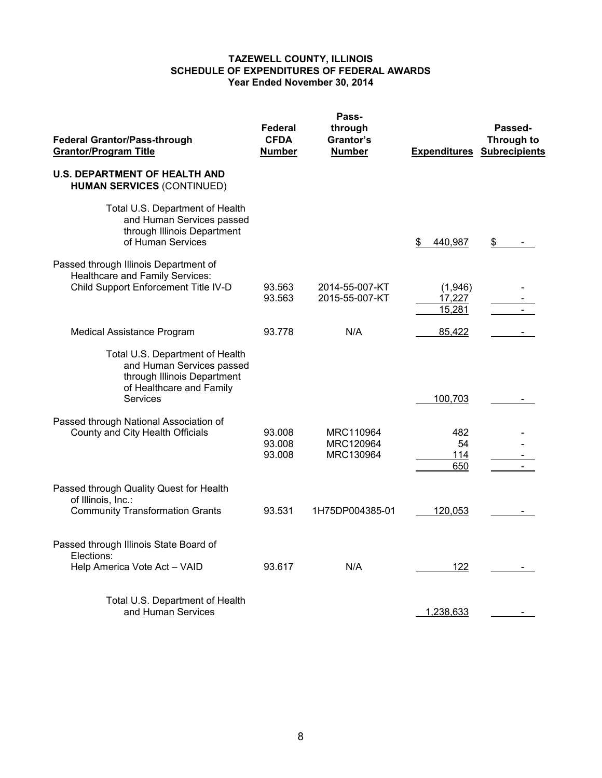| <b>Federal Grantor/Pass-through</b><br><b>Grantor/Program Title</b>                                                                 | Federal<br><b>CFDA</b><br><b>Number</b> | Pass-<br>through<br>Grantor's<br><b>Number</b> |                             | Passed-<br>Through to<br><b>Expenditures Subrecipients</b> |
|-------------------------------------------------------------------------------------------------------------------------------------|-----------------------------------------|------------------------------------------------|-----------------------------|------------------------------------------------------------|
| <b>U.S. DEPARTMENT OF HEALTH AND</b><br><b>HUMAN SERVICES (CONTINUED)</b>                                                           |                                         |                                                |                             |                                                            |
| Total U.S. Department of Health<br>and Human Services passed<br>through Illinois Department<br>of Human Services                    |                                         |                                                | S<br>440,987                | \$                                                         |
| Passed through Illinois Department of<br>Healthcare and Family Services:<br>Child Support Enforcement Title IV-D                    | 93.563<br>93.563                        | 2014-55-007-KT<br>2015-55-007-KT               | (1,946)<br>17,227<br>15,281 |                                                            |
| <b>Medical Assistance Program</b>                                                                                                   | 93.778                                  | N/A                                            | 85,422                      | $\blacksquare$                                             |
| Total U.S. Department of Health<br>and Human Services passed<br>through Illinois Department<br>of Healthcare and Family<br>Services |                                         |                                                | 100,703                     | $\sim$                                                     |
| Passed through National Association of<br>County and City Health Officials                                                          | 93.008<br>93.008<br>93.008              | MRC110964<br>MRC120964<br>MRC130964            | 482<br>54<br>114<br>650     |                                                            |
| Passed through Quality Quest for Health<br>of Illinois, Inc.:<br><b>Community Transformation Grants</b>                             | 93.531                                  | 1H75DP004385-01                                | 120,053                     |                                                            |
| Passed through Illinois State Board of<br>Elections:<br>Help America Vote Act - VAID                                                | 93.617                                  | N/A                                            | 122                         |                                                            |
| Total U.S. Department of Health<br>and Human Services                                                                               |                                         |                                                | 1,238,633                   |                                                            |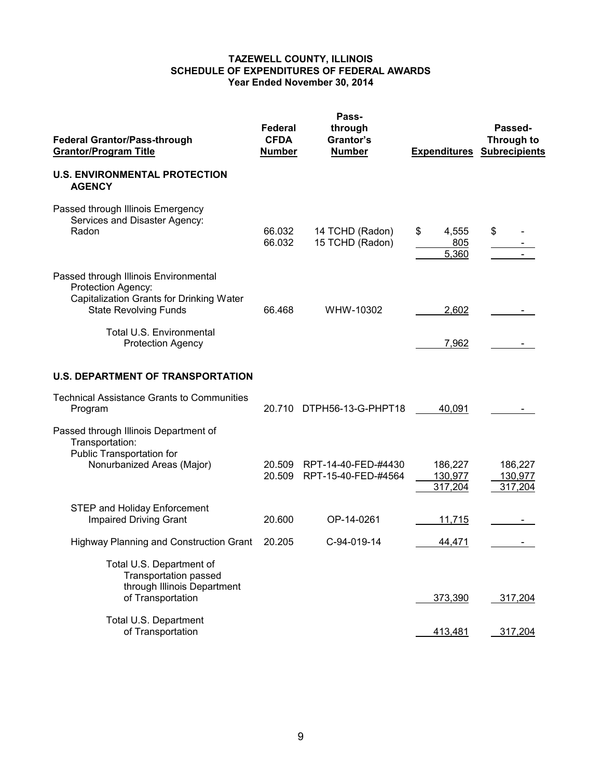| <b>Federal Grantor/Pass-through</b><br><b>Grantor/Program Title</b>                                                                     | <b>Federal</b><br><b>CFDA</b><br><b>Number</b> | Pass-<br>through<br>Grantor's<br><b>Number</b>    |                               | Passed-<br>Through to<br><b>Expenditures Subrecipients</b> |
|-----------------------------------------------------------------------------------------------------------------------------------------|------------------------------------------------|---------------------------------------------------|-------------------------------|------------------------------------------------------------|
| <b>U.S. ENVIRONMENTAL PROTECTION</b><br><b>AGENCY</b>                                                                                   |                                                |                                                   |                               |                                                            |
| Passed through Illinois Emergency<br>Services and Disaster Agency:<br>Radon                                                             | 66.032<br>66.032                               | 14 TCHD (Radon)<br>15 TCHD (Radon)                | \$<br>4,555<br>805<br>5,360   | \$                                                         |
| Passed through Illinois Environmental<br>Protection Agency:<br>Capitalization Grants for Drinking Water<br><b>State Revolving Funds</b> | 66.468                                         | WHW-10302                                         | 2,602                         |                                                            |
| Total U.S. Environmental<br><b>Protection Agency</b>                                                                                    |                                                |                                                   | 7,962                         |                                                            |
| <b>U.S. DEPARTMENT OF TRANSPORTATION</b>                                                                                                |                                                |                                                   |                               |                                                            |
| <b>Technical Assistance Grants to Communities</b><br>Program                                                                            |                                                | 20.710 DTPH56-13-G-PHPT18                         | 40,091                        |                                                            |
| Passed through Illinois Department of<br>Transportation:<br>Public Transportation for<br>Nonurbanized Areas (Major)                     | 20.509                                         | 20.509 RPT-14-40-FED-#4430<br>RPT-15-40-FED-#4564 | 186,227<br>130,977<br>317,204 | 186,227<br>130,977<br>317,204                              |
| <b>STEP and Holiday Enforcement</b><br><b>Impaired Driving Grant</b>                                                                    | 20.600                                         | OP-14-0261                                        | 11,715                        |                                                            |
| <b>Highway Planning and Construction Grant</b>                                                                                          | 20.205                                         | C-94-019-14                                       | 44,471                        | $\sim$                                                     |
| Total U.S. Department of<br><b>Transportation passed</b><br>through Illinois Department<br>of Transportation                            |                                                |                                                   | 373,390                       | 317,204                                                    |
| Total U.S. Department<br>of Transportation                                                                                              |                                                |                                                   | 413,481                       | 317,204                                                    |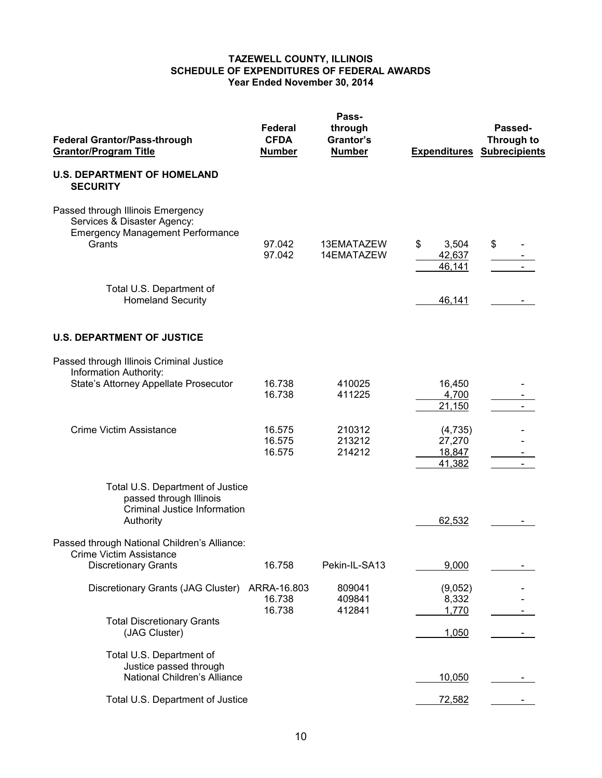| <b>Federal Grantor/Pass-through</b><br><b>Grantor/Program Title</b>                                                   | Federal<br><b>CFDA</b><br><b>Number</b> | Pass-<br>through<br>Grantor's<br><b>Number</b> |                                        | Passed-<br>Through to<br><b>Expenditures Subrecipients</b> |
|-----------------------------------------------------------------------------------------------------------------------|-----------------------------------------|------------------------------------------------|----------------------------------------|------------------------------------------------------------|
| <b>U.S. DEPARTMENT OF HOMELAND</b><br><b>SECURITY</b>                                                                 |                                         |                                                |                                        |                                                            |
| Passed through Illinois Emergency<br>Services & Disaster Agency:<br><b>Emergency Management Performance</b><br>Grants | 97.042<br>97.042                        | 13EMATAZEW<br>14EMATAZEW                       | \$<br>3,504<br>42,637<br>46,141        | \$                                                         |
| Total U.S. Department of<br><b>Homeland Security</b>                                                                  |                                         |                                                | 46,141                                 |                                                            |
| <b>U.S. DEPARTMENT OF JUSTICE</b>                                                                                     |                                         |                                                |                                        |                                                            |
| Passed through Illinois Criminal Justice<br>Information Authority:<br>State's Attorney Appellate Prosecutor           | 16.738<br>16.738                        | 410025<br>411225                               | 16,450<br>4,700<br>21,150              |                                                            |
| <b>Crime Victim Assistance</b>                                                                                        | 16.575<br>16.575<br>16.575              | 210312<br>213212<br>214212                     | (4, 735)<br>27,270<br>18,847<br>41,382 |                                                            |
| Total U.S. Department of Justice<br>passed through Illinois<br>Criminal Justice Information<br>Authority              |                                         |                                                | 62,532                                 |                                                            |
| Passed through National Children's Alliance:<br><b>Crime Victim Assistance</b><br><b>Discretionary Grants</b>         | 16.758                                  | Pekin-IL-SA13                                  | 9,000                                  |                                                            |
| Discretionary Grants (JAG Cluster)                                                                                    | ARRA-16.803<br>16.738<br>16.738         | 809041<br>409841<br>412841                     | (9,052)<br>8,332<br>1,770              |                                                            |
| <b>Total Discretionary Grants</b><br>(JAG Cluster)                                                                    |                                         |                                                | 1,050                                  |                                                            |
| Total U.S. Department of<br>Justice passed through<br>National Children's Alliance                                    |                                         |                                                | 10,050                                 |                                                            |
| Total U.S. Department of Justice                                                                                      |                                         |                                                | 72,582                                 |                                                            |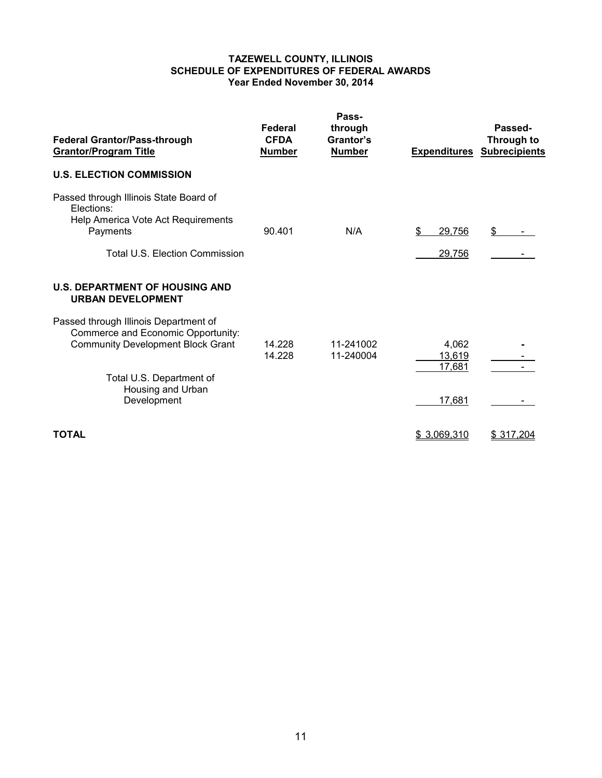| <b>Federal Grantor/Pass-through</b><br><b>Grantor/Program Title</b>                                                                      | Federal<br><b>CFDA</b><br><b>Number</b> | Pass-<br>through<br>Grantor's<br><b>Number</b> | <b>Expenditures</b>       | Passed-<br>Through to<br><b>Subrecipients</b> |
|------------------------------------------------------------------------------------------------------------------------------------------|-----------------------------------------|------------------------------------------------|---------------------------|-----------------------------------------------|
| <b>U.S. ELECTION COMMISSION</b>                                                                                                          |                                         |                                                |                           |                                               |
| Passed through Illinois State Board of<br>Elections:<br>Help America Vote Act Requirements<br>Payments<br>Total U.S. Election Commission | 90.401                                  | N/A                                            | \$<br>29,756<br>29,756    | \$                                            |
| <b>U.S. DEPARTMENT OF HOUSING AND</b><br><b>URBAN DEVELOPMENT</b>                                                                        |                                         |                                                |                           |                                               |
| Passed through Illinois Department of<br>Commerce and Economic Opportunity:<br><b>Community Development Block Grant</b>                  | 14.228<br>14.228                        | 11-241002<br>11-240004                         | 4,062<br>13,619<br>17,681 |                                               |
| Total U.S. Department of<br>Housing and Urban<br>Development                                                                             |                                         |                                                | 17,681                    |                                               |
| TOTAL                                                                                                                                    |                                         |                                                | \$3,069,310               | \$317,204                                     |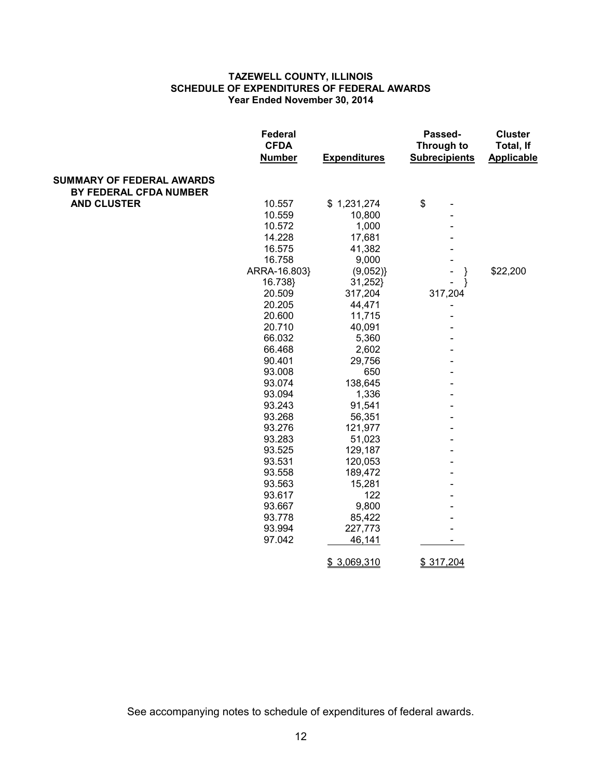|                                                            | Federal<br><b>CFDA</b><br><b>Number</b> | <b>Expenditures</b> | Passed-<br>Through to<br><b>Subrecipients</b> | <b>Cluster</b><br>Total, If<br><b>Applicable</b> |
|------------------------------------------------------------|-----------------------------------------|---------------------|-----------------------------------------------|--------------------------------------------------|
| <b>SUMMARY OF FEDERAL AWARDS</b><br>BY FEDERAL CFDA NUMBER |                                         |                     |                                               |                                                  |
| <b>AND CLUSTER</b>                                         | 10.557                                  | \$1,231,274         | \$                                            |                                                  |
|                                                            | 10.559                                  | 10,800              |                                               |                                                  |
|                                                            | 10.572                                  | 1,000               |                                               |                                                  |
|                                                            | 14.228                                  | 17,681              |                                               |                                                  |
|                                                            | 16.575                                  | 41,382              |                                               |                                                  |
|                                                            | 16.758                                  | 9,000               |                                               |                                                  |
|                                                            | ARRA-16.803}                            | (9,052)             | $\frac{1}{2}$                                 | \$22,200                                         |
|                                                            | 16.738}                                 | 31,252              | $\overline{\phantom{0}}$                      |                                                  |
|                                                            | 20.509                                  | 317,204             | 317,204                                       |                                                  |
|                                                            | 20.205                                  | 44,471              |                                               |                                                  |
|                                                            | 20.600                                  | 11,715              |                                               |                                                  |
|                                                            | 20.710                                  | 40,091              |                                               |                                                  |
|                                                            | 66.032                                  | 5,360               |                                               |                                                  |
|                                                            | 66.468                                  | 2,602               |                                               |                                                  |
|                                                            | 90.401                                  | 29,756              |                                               |                                                  |
|                                                            | 93.008                                  | 650                 |                                               |                                                  |
|                                                            | 93.074                                  | 138,645             |                                               |                                                  |
|                                                            | 93.094                                  | 1,336               |                                               |                                                  |
|                                                            | 93.243                                  | 91,541              |                                               |                                                  |
|                                                            | 93.268                                  | 56,351              |                                               |                                                  |
|                                                            | 93.276                                  | 121,977             |                                               |                                                  |
|                                                            | 93.283                                  | 51,023              |                                               |                                                  |
|                                                            | 93.525                                  | 129,187             |                                               |                                                  |
|                                                            | 93.531                                  | 120,053             |                                               |                                                  |
|                                                            | 93.558                                  | 189,472             |                                               |                                                  |
|                                                            | 93.563                                  | 15,281              |                                               |                                                  |
|                                                            | 93.617                                  | 122                 |                                               |                                                  |
|                                                            | 93.667                                  | 9,800               |                                               |                                                  |
|                                                            | 93.778                                  | 85,422              |                                               |                                                  |
|                                                            | 93.994                                  | 227,773             |                                               |                                                  |
|                                                            | 97.042                                  | 46,141              | Ξ.                                            |                                                  |
|                                                            |                                         | \$3,069,310         | \$317,204                                     |                                                  |

See accompanying notes to schedule of expenditures of federal awards.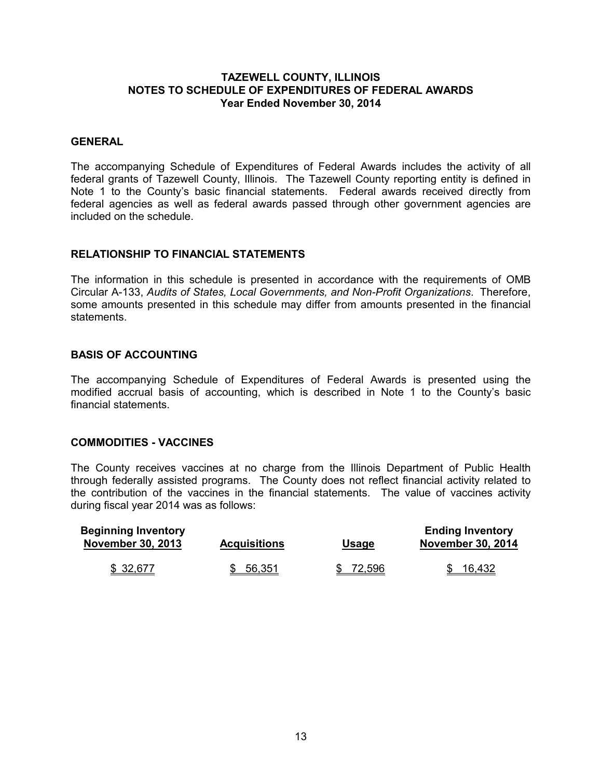#### **GENERAL**

The accompanying Schedule of Expenditures of Federal Awards includes the activity of all federal grants of Tazewell County, Illinois. The Tazewell County reporting entity is defined in Note 1 to the County's basic financial statements. Federal awards received directly from federal agencies as well as federal awards passed through other government agencies are included on the schedule.

## **RELATIONSHIP TO FINANCIAL STATEMENTS**

The information in this schedule is presented in accordance with the requirements of OMB Circular A-133, *Audits of States, Local Governments, and Non-Profit Organizations*. Therefore, some amounts presented in this schedule may differ from amounts presented in the financial statements.

#### **BASIS OF ACCOUNTING**

The accompanying Schedule of Expenditures of Federal Awards is presented using the modified accrual basis of accounting, which is described in Note 1 to the County's basic financial statements.

#### **COMMODITIES - VACCINES**

The County receives vaccines at no charge from the Illinois Department of Public Health through federally assisted programs. The County does not reflect financial activity related to the contribution of the vaccines in the financial statements. The value of vaccines activity during fiscal year 2014 was as follows:

| <b>Beginning Inventory</b> |                     |          | <b>Ending Inventory</b>  |  |  |
|----------------------------|---------------------|----------|--------------------------|--|--|
| <b>November 30, 2013</b>   | <b>Acquisitions</b> | Usage    | <b>November 30, 2014</b> |  |  |
| \$ 32,677                  | \$ 56,351           | \$72,596 | 16,432                   |  |  |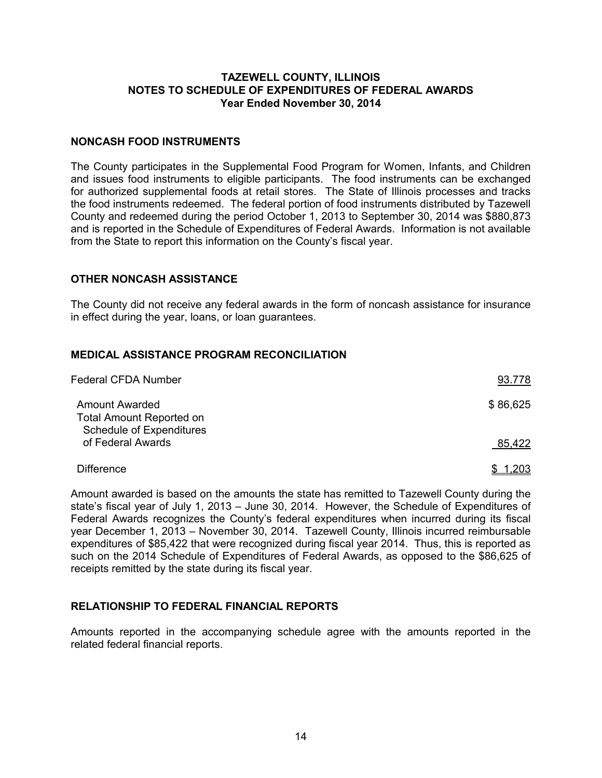## **NONCASH FOOD INSTRUMENTS**

The County participates in the Supplemental Food Program for Women, Infants, and Children and issues food instruments to eligible participants. The food instruments can be exchanged for authorized supplemental foods at retail stores. The State of Illinois processes and tracks the food instruments redeemed. The federal portion of food instruments distributed by Tazewell County and redeemed during the period October 1, 2013 to September 30, 2014 was \$880,873 and is reported in the Schedule of Expenditures of Federal Awards. Information is not available from the State to report this information on the County's fiscal year.

#### **OTHER NONCASH ASSISTANCE**

The County did not receive any federal awards in the form of noncash assistance for insurance in effect during the year, loans, or loan guarantees.

#### **MEDICAL ASSISTANCE PROGRAM RECONCILIATION**

| Federal CFDA Number                                                                         | 93.778   |
|---------------------------------------------------------------------------------------------|----------|
| <b>Amount Awarded</b><br><b>Total Amount Reported on</b><br><b>Schedule of Expenditures</b> | \$86,625 |
| of Federal Awards                                                                           | 85,422   |
| <b>Difference</b>                                                                           | \$1,203  |

Amount awarded is based on the amounts the state has remitted to Tazewell County during the state's fiscal year of July 1, 2013 – June 30, 2014. However, the Schedule of Expenditures of Federal Awards recognizes the County's federal expenditures when incurred during its fiscal year December 1, 2013 – November 30, 2014. Tazewell County, Illinois incurred reimbursable expenditures of \$85,422 that were recognized during fiscal year 2014. Thus, this is reported as such on the 2014 Schedule of Expenditures of Federal Awards, as opposed to the \$86,625 of receipts remitted by the state during its fiscal year.

#### **RELATIONSHIP TO FEDERAL FINANCIAL REPORTS**

Amounts reported in the accompanying schedule agree with the amounts reported in the related federal financial reports.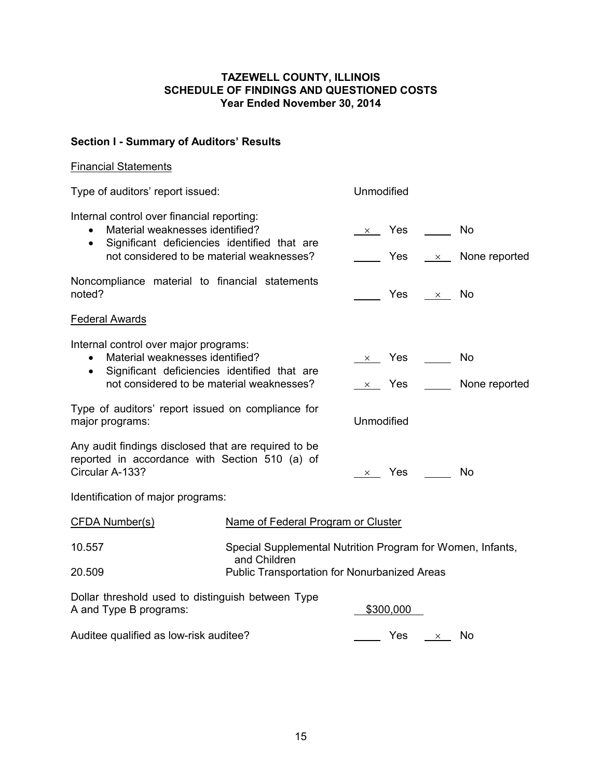# **Section I - Summary of Auditors' Results**

# Financial Statements

| Type of auditors' report issued:                                                                                                                                                                |                                                                            | Unmodified           |            |          |                     |
|-------------------------------------------------------------------------------------------------------------------------------------------------------------------------------------------------|----------------------------------------------------------------------------|----------------------|------------|----------|---------------------|
| Internal control over financial reporting:<br>Material weaknesses identified?<br>Significant deficiencies identified that are<br>$\bullet$<br>not considered to be material weaknesses?         |                                                                            | $\times$             | Yes<br>Yes | $\times$ | No<br>None reported |
| Noncompliance material to financial statements<br>noted?                                                                                                                                        |                                                                            |                      | Yes        | $\times$ | <b>No</b>           |
| <b>Federal Awards</b>                                                                                                                                                                           |                                                                            |                      |            |          |                     |
| Internal control over major programs:<br>Material weaknesses identified?<br>$\bullet$<br>Significant deficiencies identified that are<br>$\bullet$<br>not considered to be material weaknesses? |                                                                            | $\times$<br>$\times$ | Yes<br>Yes |          | No<br>None reported |
| Type of auditors' report issued on compliance for<br>major programs:                                                                                                                            |                                                                            | <b>Unmodified</b>    |            |          |                     |
| Any audit findings disclosed that are required to be<br>reported in accordance with Section 510 (a) of<br>Circular A-133?                                                                       |                                                                            | $\times$             | Yes        |          | No                  |
| Identification of major programs:                                                                                                                                                               |                                                                            |                      |            |          |                     |
| <b>CFDA Number(s)</b>                                                                                                                                                                           | Name of Federal Program or Cluster                                         |                      |            |          |                     |
| 10.557                                                                                                                                                                                          | Special Supplemental Nutrition Program for Women, Infants,<br>and Children |                      |            |          |                     |
| 20.509                                                                                                                                                                                          | <b>Public Transportation for Nonurbanized Areas</b>                        |                      |            |          |                     |
| Dollar threshold used to distinguish between Type<br>A and Type B programs:                                                                                                                     |                                                                            |                      | \$300,000  |          |                     |
| Auditee qualified as low-risk auditee?                                                                                                                                                          |                                                                            |                      | Yes        | $\times$ | No                  |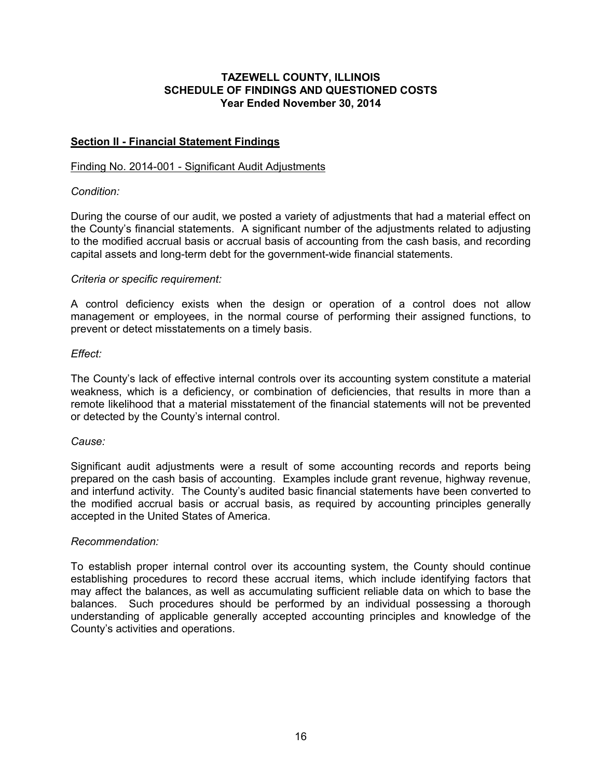## **Section II - Financial Statement Findings**

#### Finding No. 2014-001 - Significant Audit Adjustments

#### *Condition:*

During the course of our audit, we posted a variety of adjustments that had a material effect on the County's financial statements. A significant number of the adjustments related to adjusting to the modified accrual basis or accrual basis of accounting from the cash basis, and recording capital assets and long-term debt for the government-wide financial statements.

#### *Criteria or specific requirement:*

A control deficiency exists when the design or operation of a control does not allow management or employees, in the normal course of performing their assigned functions, to prevent or detect misstatements on a timely basis.

#### *Effect:*

The County's lack of effective internal controls over its accounting system constitute a material weakness, which is a deficiency, or combination of deficiencies, that results in more than a remote likelihood that a material misstatement of the financial statements will not be prevented or detected by the County's internal control.

#### *Cause:*

Significant audit adjustments were a result of some accounting records and reports being prepared on the cash basis of accounting. Examples include grant revenue, highway revenue, and interfund activity. The County's audited basic financial statements have been converted to the modified accrual basis or accrual basis, as required by accounting principles generally accepted in the United States of America.

#### *Recommendation:*

To establish proper internal control over its accounting system, the County should continue establishing procedures to record these accrual items, which include identifying factors that may affect the balances, as well as accumulating sufficient reliable data on which to base the balances. Such procedures should be performed by an individual possessing a thorough understanding of applicable generally accepted accounting principles and knowledge of the County's activities and operations.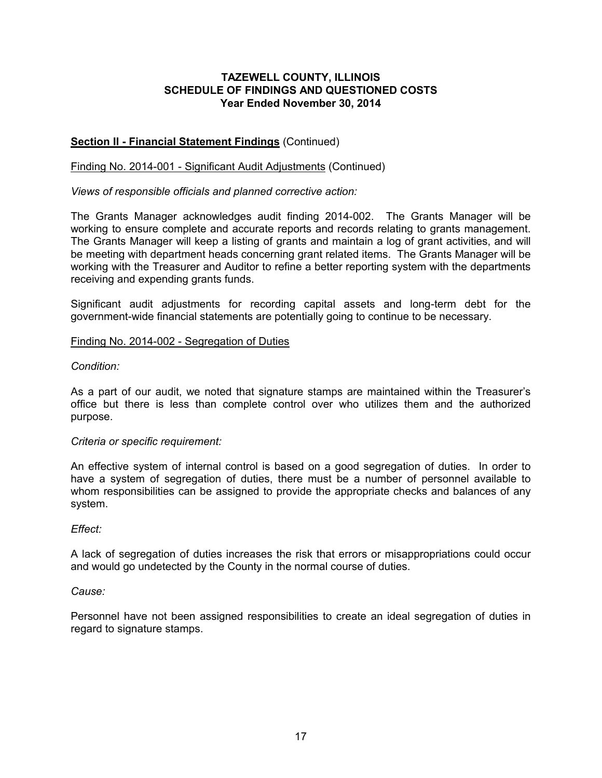# **Section II - Financial Statement Findings** (Continued)

#### Finding No. 2014-001 - Significant Audit Adjustments (Continued)

#### *Views of responsible officials and planned corrective action:*

The Grants Manager acknowledges audit finding 2014-002. The Grants Manager will be working to ensure complete and accurate reports and records relating to grants management. The Grants Manager will keep a listing of grants and maintain a log of grant activities, and will be meeting with department heads concerning grant related items. The Grants Manager will be working with the Treasurer and Auditor to refine a better reporting system with the departments receiving and expending grants funds.

Significant audit adjustments for recording capital assets and long-term debt for the government-wide financial statements are potentially going to continue to be necessary.

#### Finding No. 2014-002 - Segregation of Duties

#### *Condition:*

As a part of our audit, we noted that signature stamps are maintained within the Treasurer's office but there is less than complete control over who utilizes them and the authorized purpose.

#### *Criteria or specific requirement:*

An effective system of internal control is based on a good segregation of duties. In order to have a system of segregation of duties, there must be a number of personnel available to whom responsibilities can be assigned to provide the appropriate checks and balances of any system.

#### *Effect:*

A lack of segregation of duties increases the risk that errors or misappropriations could occur and would go undetected by the County in the normal course of duties.

#### *Cause:*

Personnel have not been assigned responsibilities to create an ideal segregation of duties in regard to signature stamps.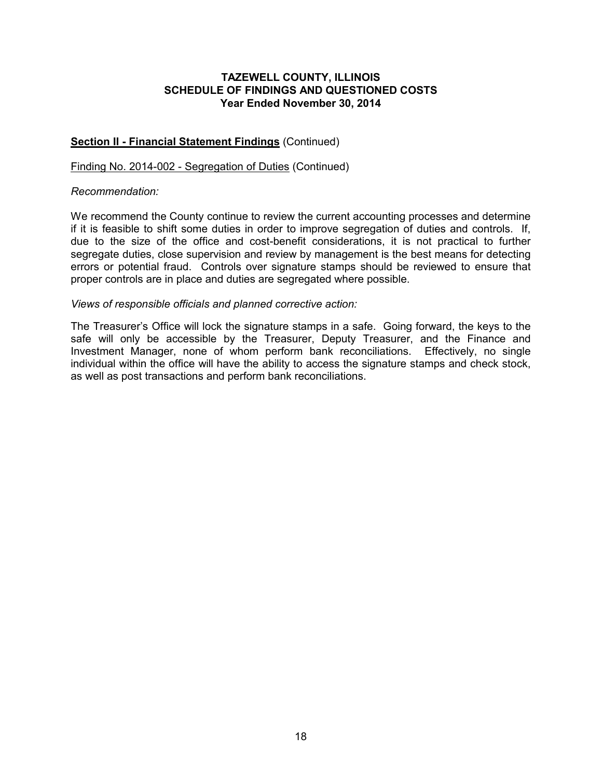# **Section II - Financial Statement Findings** (Continued)

#### Finding No. 2014-002 - Segregation of Duties (Continued)

#### *Recommendation:*

We recommend the County continue to review the current accounting processes and determine if it is feasible to shift some duties in order to improve segregation of duties and controls. If, due to the size of the office and cost-benefit considerations, it is not practical to further segregate duties, close supervision and review by management is the best means for detecting errors or potential fraud. Controls over signature stamps should be reviewed to ensure that proper controls are in place and duties are segregated where possible.

#### *Views of responsible officials and planned corrective action:*

The Treasurer's Office will lock the signature stamps in a safe. Going forward, the keys to the safe will only be accessible by the Treasurer, Deputy Treasurer, and the Finance and Investment Manager, none of whom perform bank reconciliations. Effectively, no single individual within the office will have the ability to access the signature stamps and check stock, as well as post transactions and perform bank reconciliations.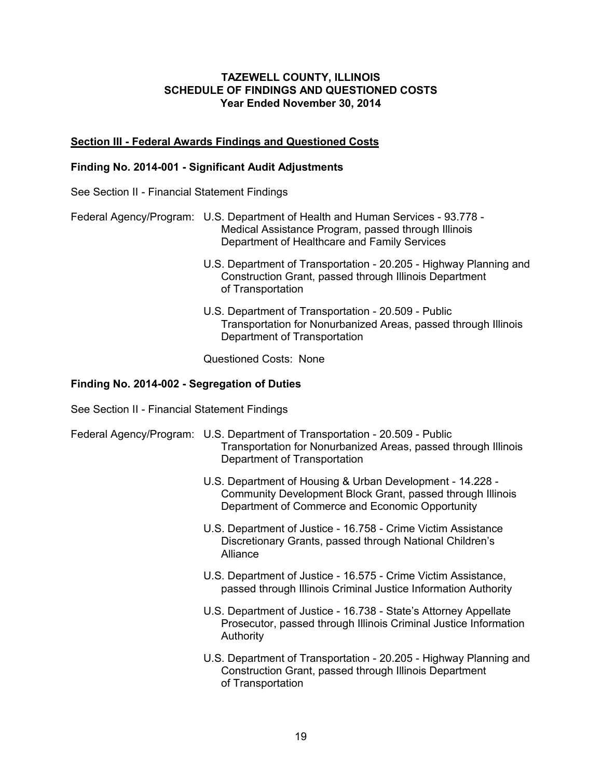# **Section III - Federal Awards Findings and Questioned Costs**

#### **Finding No. 2014-001 - Significant Audit Adjustments**

See Section II - Financial Statement Findings

Federal Agency/Program: U.S. Department of Health and Human Services - 93.778 - Medical Assistance Program, passed through Illinois Department of Healthcare and Family Services

- U.S. Department of Transportation 20.205 Highway Planning and Construction Grant, passed through Illinois Department of Transportation
- U.S. Department of Transportation 20.509 Public Transportation for Nonurbanized Areas, passed through Illinois Department of Transportation

Questioned Costs: None

## **Finding No. 2014-002 - Segregation of Duties**

See Section II - Financial Statement Findings

- Federal Agency/Program: U.S. Department of Transportation 20.509 Public Transportation for Nonurbanized Areas, passed through Illinois Department of Transportation
	- U.S. Department of Housing & Urban Development 14.228 Community Development Block Grant, passed through Illinois Department of Commerce and Economic Opportunity
	- U.S. Department of Justice 16.758 Crime Victim Assistance Discretionary Grants, passed through National Children's Alliance
	- U.S. Department of Justice 16.575 Crime Victim Assistance, passed through Illinois Criminal Justice Information Authority
	- U.S. Department of Justice 16.738 State's Attorney Appellate Prosecutor, passed through Illinois Criminal Justice Information Authority
	- U.S. Department of Transportation 20.205 Highway Planning and Construction Grant, passed through Illinois Department of Transportation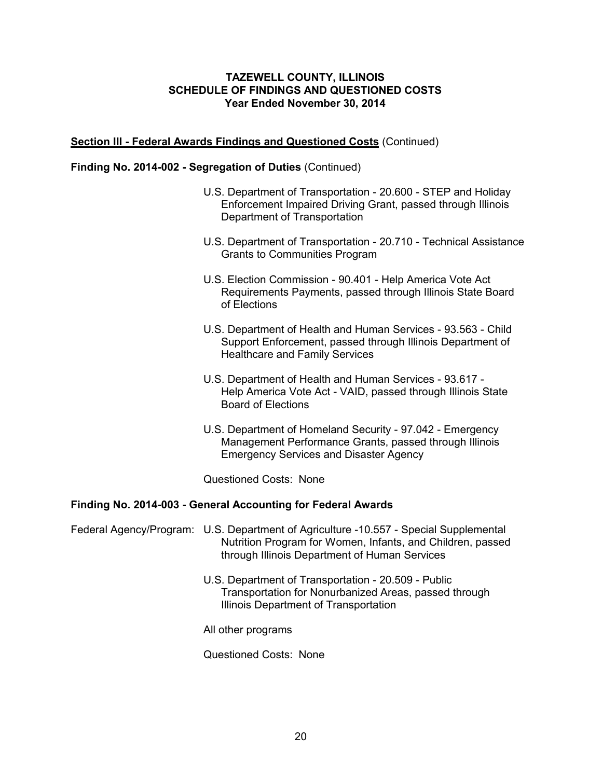# **Section III - Federal Awards Findings and Questioned Costs** (Continued)

#### **Finding No. 2014-002 - Segregation of Duties** (Continued)

- U.S. Department of Transportation 20.600 STEP and Holiday Enforcement Impaired Driving Grant, passed through Illinois Department of Transportation
- U.S. Department of Transportation 20.710 Technical Assistance Grants to Communities Program
- U.S. Election Commission 90.401 Help America Vote Act Requirements Payments, passed through Illinois State Board of Elections
- U.S. Department of Health and Human Services 93.563 Child Support Enforcement, passed through Illinois Department of Healthcare and Family Services
- U.S. Department of Health and Human Services 93.617 Help America Vote Act - VAID, passed through Illinois State Board of Elections
- U.S. Department of Homeland Security 97.042 Emergency Management Performance Grants, passed through Illinois Emergency Services and Disaster Agency

Questioned Costs: None

## **Finding No. 2014-003 - General Accounting for Federal Awards**

Federal Agency/Program: U.S. Department of Agriculture -10.557 - Special Supplemental Nutrition Program for Women, Infants, and Children, passed through Illinois Department of Human Services

> U.S. Department of Transportation - 20.509 - Public Transportation for Nonurbanized Areas, passed through Illinois Department of Transportation

All other programs

Questioned Costs: None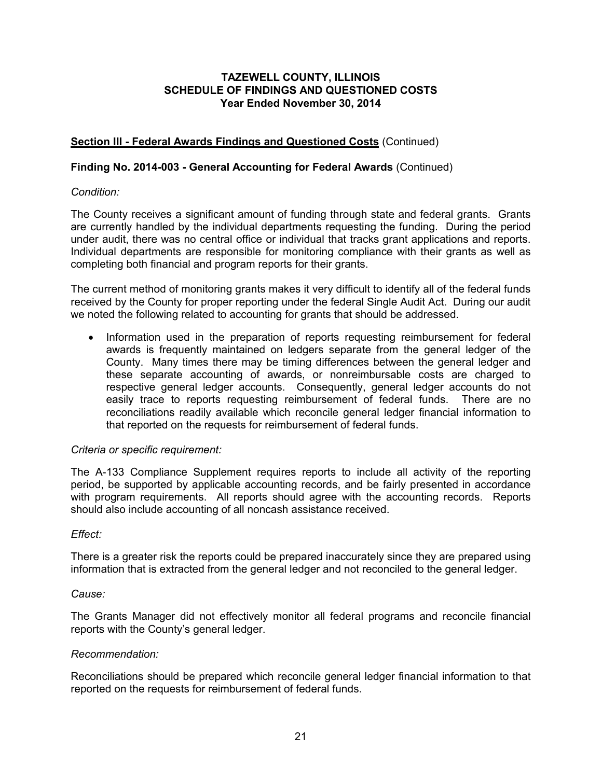# **Section III - Federal Awards Findings and Questioned Costs** (Continued)

# **Finding No. 2014-003 - General Accounting for Federal Awards** (Continued)

## *Condition:*

The County receives a significant amount of funding through state and federal grants. Grants are currently handled by the individual departments requesting the funding. During the period under audit, there was no central office or individual that tracks grant applications and reports. Individual departments are responsible for monitoring compliance with their grants as well as completing both financial and program reports for their grants.

The current method of monitoring grants makes it very difficult to identify all of the federal funds received by the County for proper reporting under the federal Single Audit Act. During our audit we noted the following related to accounting for grants that should be addressed.

• Information used in the preparation of reports requesting reimbursement for federal awards is frequently maintained on ledgers separate from the general ledger of the County. Many times there may be timing differences between the general ledger and these separate accounting of awards, or nonreimbursable costs are charged to respective general ledger accounts. Consequently, general ledger accounts do not easily trace to reports requesting reimbursement of federal funds. There are no reconciliations readily available which reconcile general ledger financial information to that reported on the requests for reimbursement of federal funds.

## *Criteria or specific requirement:*

The A-133 Compliance Supplement requires reports to include all activity of the reporting period, be supported by applicable accounting records, and be fairly presented in accordance with program requirements. All reports should agree with the accounting records. Reports should also include accounting of all noncash assistance received.

## *Effect:*

There is a greater risk the reports could be prepared inaccurately since they are prepared using information that is extracted from the general ledger and not reconciled to the general ledger.

#### *Cause:*

The Grants Manager did not effectively monitor all federal programs and reconcile financial reports with the County's general ledger.

#### *Recommendation:*

Reconciliations should be prepared which reconcile general ledger financial information to that reported on the requests for reimbursement of federal funds.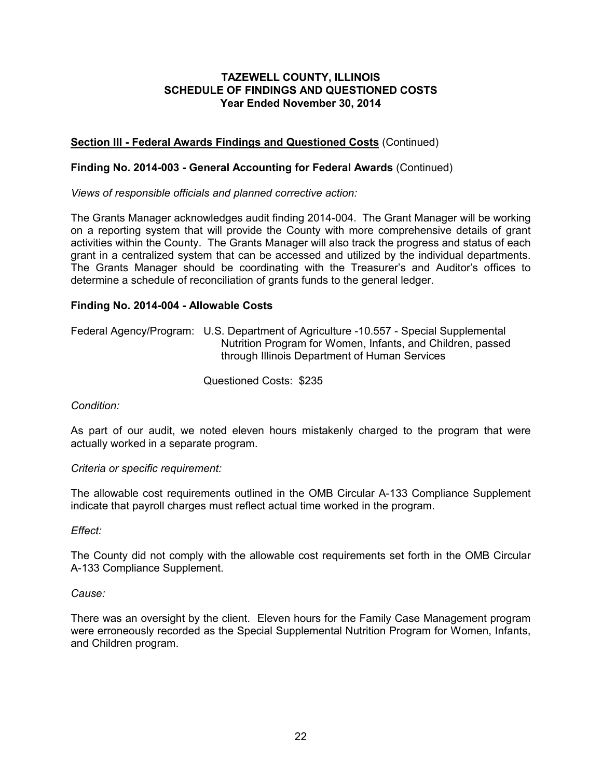# **Section III - Federal Awards Findings and Questioned Costs** (Continued)

## **Finding No. 2014-003 - General Accounting for Federal Awards** (Continued)

*Views of responsible officials and planned corrective action:*

The Grants Manager acknowledges audit finding 2014-004. The Grant Manager will be working on a reporting system that will provide the County with more comprehensive details of grant activities within the County. The Grants Manager will also track the progress and status of each grant in a centralized system that can be accessed and utilized by the individual departments. The Grants Manager should be coordinating with the Treasurer's and Auditor's offices to determine a schedule of reconciliation of grants funds to the general ledger.

## **Finding No. 2014-004 - Allowable Costs**

Federal Agency/Program: U.S. Department of Agriculture -10.557 - Special Supplemental Nutrition Program for Women, Infants, and Children, passed through Illinois Department of Human Services

Questioned Costs: \$235

*Condition:*

As part of our audit, we noted eleven hours mistakenly charged to the program that were actually worked in a separate program.

## *Criteria or specific requirement:*

The allowable cost requirements outlined in the OMB Circular A-133 Compliance Supplement indicate that payroll charges must reflect actual time worked in the program.

#### *Effect:*

The County did not comply with the allowable cost requirements set forth in the OMB Circular A-133 Compliance Supplement.

#### *Cause:*

There was an oversight by the client. Eleven hours for the Family Case Management program were erroneously recorded as the Special Supplemental Nutrition Program for Women, Infants, and Children program.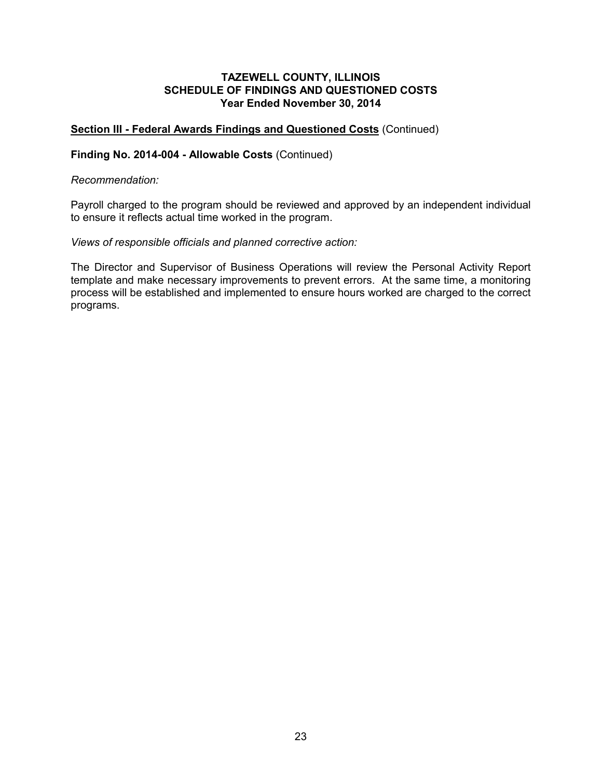#### **Section III - Federal Awards Findings and Questioned Costs** (Continued)

#### **Finding No. 2014-004 - Allowable Costs** (Continued)

#### *Recommendation:*

Payroll charged to the program should be reviewed and approved by an independent individual to ensure it reflects actual time worked in the program.

#### *Views of responsible officials and planned corrective action:*

The Director and Supervisor of Business Operations will review the Personal Activity Report template and make necessary improvements to prevent errors. At the same time, a monitoring process will be established and implemented to ensure hours worked are charged to the correct programs.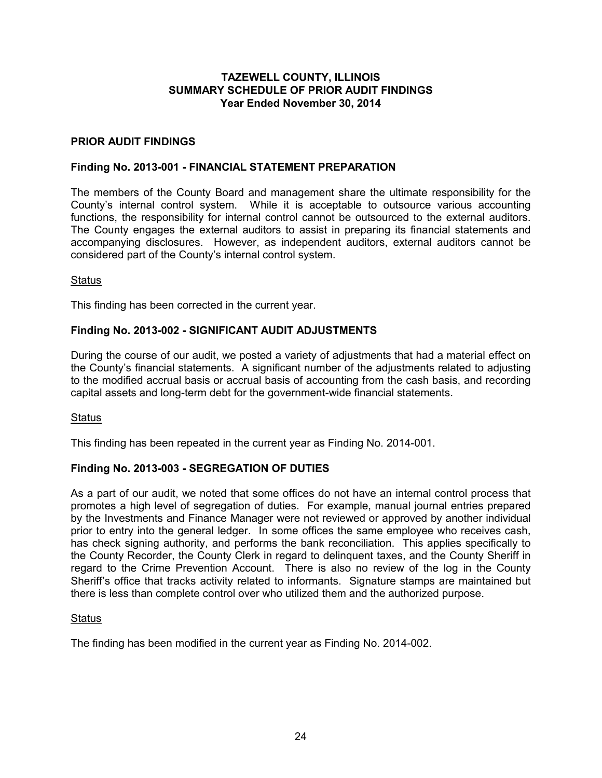# **TAZEWELL COUNTY, ILLINOIS SUMMARY SCHEDULE OF PRIOR AUDIT FINDINGS Year Ended November 30, 2014**

# **PRIOR AUDIT FINDINGS**

#### **Finding No. 2013-001 - FINANCIAL STATEMENT PREPARATION**

The members of the County Board and management share the ultimate responsibility for the County's internal control system. While it is acceptable to outsource various accounting functions, the responsibility for internal control cannot be outsourced to the external auditors. The County engages the external auditors to assist in preparing its financial statements and accompanying disclosures. However, as independent auditors, external auditors cannot be considered part of the County's internal control system.

#### **Status**

This finding has been corrected in the current year.

## **Finding No. 2013-002 - SIGNIFICANT AUDIT ADJUSTMENTS**

During the course of our audit, we posted a variety of adjustments that had a material effect on the County's financial statements. A significant number of the adjustments related to adjusting to the modified accrual basis or accrual basis of accounting from the cash basis, and recording capital assets and long-term debt for the government-wide financial statements.

#### **Status**

This finding has been repeated in the current year as Finding No. 2014-001.

## **Finding No. 2013-003 - SEGREGATION OF DUTIES**

As a part of our audit, we noted that some offices do not have an internal control process that promotes a high level of segregation of duties. For example, manual journal entries prepared by the Investments and Finance Manager were not reviewed or approved by another individual prior to entry into the general ledger. In some offices the same employee who receives cash, has check signing authority, and performs the bank reconciliation. This applies specifically to the County Recorder, the County Clerk in regard to delinquent taxes, and the County Sheriff in regard to the Crime Prevention Account. There is also no review of the log in the County Sheriff's office that tracks activity related to informants. Signature stamps are maintained but there is less than complete control over who utilized them and the authorized purpose.

#### **Status**

The finding has been modified in the current year as Finding No. 2014-002.